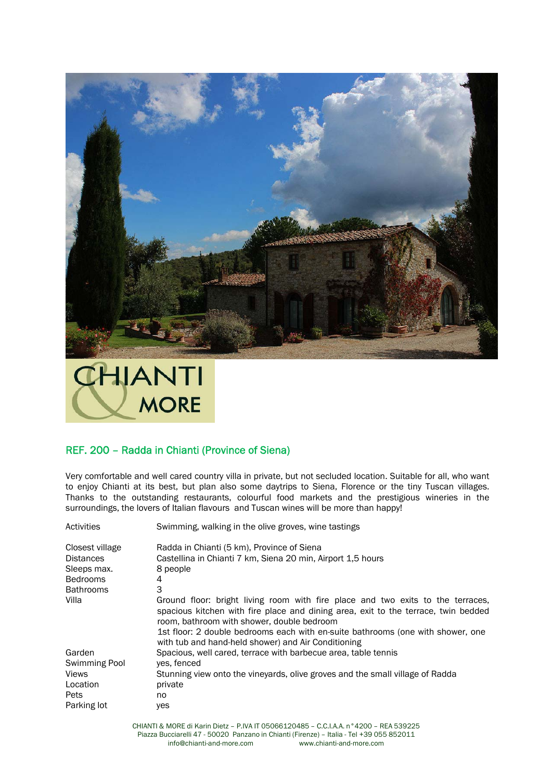



## REF. 200 – Radda in Chianti (Province of Siena)

Very comfortable and well cared country villa in private, but not secluded location. Suitable for all, who want to enjoy Chianti at its best, but plan also some daytrips to Siena, Florence or the tiny Tuscan villages. Thanks to the outstanding restaurants, colourful food markets and the prestigious wineries in the surroundings, the lovers of Italian flavours and Tuscan wines will be more than happy!

| Swimming, walking in the olive groves, wine tastings                                                                                                                                                                                                                                                                                                          |
|---------------------------------------------------------------------------------------------------------------------------------------------------------------------------------------------------------------------------------------------------------------------------------------------------------------------------------------------------------------|
| Radda in Chianti (5 km), Province of Siena                                                                                                                                                                                                                                                                                                                    |
| Castellina in Chianti 7 km, Siena 20 min, Airport 1,5 hours                                                                                                                                                                                                                                                                                                   |
| 8 people                                                                                                                                                                                                                                                                                                                                                      |
| 4                                                                                                                                                                                                                                                                                                                                                             |
| 3                                                                                                                                                                                                                                                                                                                                                             |
| Ground floor: bright living room with fire place and two exits to the terraces,<br>spacious kitchen with fire place and dining area, exit to the terrace, twin bedded<br>room, bathroom with shower, double bedroom<br>1st floor: 2 double bedrooms each with en-suite bathrooms (one with shower, one<br>with tub and hand-held shower) and Air Conditioning |
| Spacious, well cared, terrace with barbecue area, table tennis                                                                                                                                                                                                                                                                                                |
| ves, fenced                                                                                                                                                                                                                                                                                                                                                   |
| Stunning view onto the vineyards, olive groves and the small village of Radda                                                                                                                                                                                                                                                                                 |
| private                                                                                                                                                                                                                                                                                                                                                       |
| no.                                                                                                                                                                                                                                                                                                                                                           |
| yes                                                                                                                                                                                                                                                                                                                                                           |
|                                                                                                                                                                                                                                                                                                                                                               |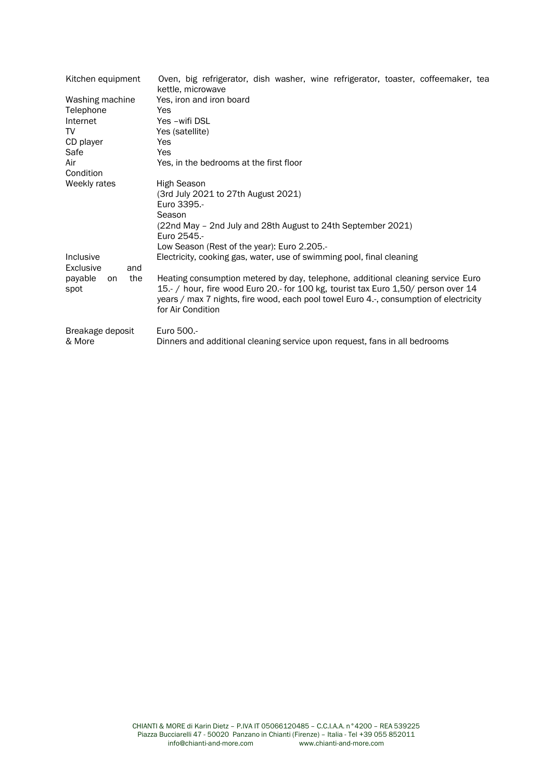| Kitchen equipment            | Oven, big refrigerator, dish washer, wine refrigerator, toaster, coffeemaker, tea<br>kettle, microwave                                                                                                                                                                              |
|------------------------------|-------------------------------------------------------------------------------------------------------------------------------------------------------------------------------------------------------------------------------------------------------------------------------------|
| Washing machine              | Yes, iron and iron board                                                                                                                                                                                                                                                            |
| Telephone                    | Yes                                                                                                                                                                                                                                                                                 |
| Internet                     | Yes -wifi DSL                                                                                                                                                                                                                                                                       |
| TV                           | Yes (satellite)                                                                                                                                                                                                                                                                     |
| CD player                    | Yes                                                                                                                                                                                                                                                                                 |
| Safe                         | Yes                                                                                                                                                                                                                                                                                 |
| Air                          | Yes, in the bedrooms at the first floor                                                                                                                                                                                                                                             |
| Condition                    |                                                                                                                                                                                                                                                                                     |
| Weekly rates                 | High Season                                                                                                                                                                                                                                                                         |
|                              | (3rd July 2021 to 27th August 2021)                                                                                                                                                                                                                                                 |
|                              | Euro 3395.-                                                                                                                                                                                                                                                                         |
|                              | Season                                                                                                                                                                                                                                                                              |
|                              | (22nd May - 2nd July and 28th August to 24th September 2021)<br>Euro 2545.-                                                                                                                                                                                                         |
|                              | Low Season (Rest of the year): Euro 2.205.-                                                                                                                                                                                                                                         |
| Inclusive                    | Electricity, cooking gas, water, use of swimming pool, final cleaning                                                                                                                                                                                                               |
| Exclusive<br>and             |                                                                                                                                                                                                                                                                                     |
| the<br>payable<br>on<br>spot | Heating consumption metered by day, telephone, additional cleaning service Euro<br>15.- / hour, fire wood Euro 20.- for 100 kg, tourist tax Euro 1,50/ person over 14<br>years / max 7 nights, fire wood, each pool towel Euro 4.-, consumption of electricity<br>for Air Condition |
| Breakage deposit<br>& More   | Euro 500 .-<br>Dinners and additional cleaning service upon request, fans in all bedrooms                                                                                                                                                                                           |